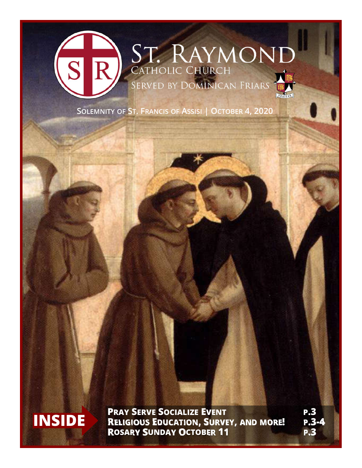

**SOLEMNITY OF ST. FRANCIS OF ASSISI | OCTOBER 4, 2020**



**INSIDE PRAY SERVE SOCIALIZE EVENT P.3**<br> **RELIGIOUS EDUCATION, SURVEY, AND MORE!** P.3-4 **ROSARY SUNDAY OCTOBER 11 P.3**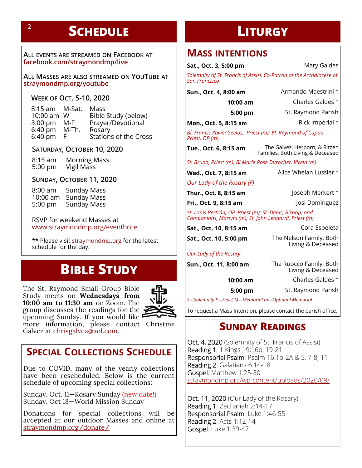# **SCHEDULE LITURGY <sup>2</sup>**

**ALL EVENTS ARE STREAMED ON FACEBOOK AT facebook.com/straymondmp/live**

**ALL MASSES ARE ALSO STREAMED ON YOUTUBE AT straymondmp.org/youtube**

**WEEK OF OCT. 5-10, 2020**

| 8:15 am M-Sat. | Mass                         |
|----------------|------------------------------|
| 10:00 am W     | Bible Study (below)          |
| M-F            | Prayer/Devotional            |
| M-Th.          | Rosary                       |
| F.             | <b>Stations of the Cross</b> |
|                |                              |

#### **SATURDAY, OCTOBER 10, 2020**

8:15 am Morning Mass<br>5:00 pm Vigil Mass Vigil Mass

#### **SUNDAY, OCTOBER 11, 2020**

8:00 am Sunday Mass 10:00 am Sunday Mass Sunday Mass

RSVP for weekend Masses at www.straymondmp.org/eventbrite

\*\* Please visit straymondmp.org for the latest schedule for the day.

# **BIBLE STUDY**

The St. Raymond Small Group Bible Study meets on **Wednesdays from 10:00 am to 11:30 am** on Zoom. The group discusses the readings for the  $\geq$ upcoming Sunday. If you would like



more information, please contact Christine Galvez at chrisgalvez@aol.com.

# **SPECIAL COLLECTIONS SCHEDULE**

Due to COVID, many of the yearly collections have been rescheduled. Below is the current schedule of upcoming special collections:

Sunday, Oct. 11—Rosary Sunday (new date!) Sunday, Oct 18—World Mission Sunday

Donations for special collections will be accepted at our outdoor Masses and online at straymondmp.org/donate/

## **MASS INTENTIONS**

**Sat., Oct. 3, 5:00 pm** Mary Galdes *Solemnity of St. Francis of Assisi, Co-Patron of the Archdiocese of San Francisco*

| Sun., Oct. 4, 8:00 am                                                                                               | Armando Maestrini †                                               |
|---------------------------------------------------------------------------------------------------------------------|-------------------------------------------------------------------|
| 10:00 am                                                                                                            | Charles Galdes †                                                  |
| 5:00 pm                                                                                                             | St. Raymond Parish                                                |
| Mon., Oct. 5, 8:15 am                                                                                               | Rick Imperial †                                                   |
| Bl. Francis Xavier Seelos, Priest (m); Bl. Raymond of Capua,<br>Priest, OP (m)                                      |                                                                   |
| Tue., Oct. 6, 8:15 am                                                                                               | The Galvez, Herborn, & Ritzen<br>Families, Both Living & Deceased |
| St. Bruno, Priest (m); Bl Marie Rose Durocher, Virgin (m)                                                           |                                                                   |
| Wed., Oct. 7, 8:15 am                                                                                               | Alice Whelan Lussier †                                            |
| Our Lady of the Rosary (F)                                                                                          |                                                                   |
| Thur., Oct. 8, 8:15 am                                                                                              | Joseph Merkert †                                                  |
| Fri., Oct. 9, 8:15 am                                                                                               | Josi Dominguez                                                    |
| St. Louis Bertrán, OP, Priest (m); St. Denis, Bishop, and<br>Companions, Martyrs (m); St. John Leonardi, Priest (m) |                                                                   |
| Sat., Oct. 10, 8:15 am                                                                                              | Cora Espeleta                                                     |
| Sat., Oct. 10, 5:00 pm                                                                                              | The Nelson Family, Both<br>Living & Deceased                      |
| Our Lady of the Rosary                                                                                              |                                                                   |
| Sun., Oct. 11, 8:00 am                                                                                              | The Ruocco Family, Both<br>Living & Deceased                      |
| 10:00 am                                                                                                            | Charles Galdes †                                                  |
| $5:00 \text{ pm}$                                                                                                   | St. Raymond Parish                                                |
|                                                                                                                     |                                                                   |

*S—Solemnity F—Feast M—Memorial m—Optional Memorial*

To request a Mass Intention, please contact the parish office.

## **SUNDAY READINGS**

Oct. 4, 2020 (Solemnity of St. Francis of Assisi) Reading 1: 1 Kings 19:16b, 19-21 Responsorial Psalm: Psalm 16:1b-2A & 5, 7-8, 11 Reading 2: Galatians 6:14-18 Gospel: Matthew 1:25-30 straymondmp.org/wp-content/uploads/2020/09/

Oct. 11, 2020 (Our Lady of the Rosary) Reading 1: Zechariah 2:14-17 Responsorial Psalm: Luke 1:46-55 Reading 2: Acts 1:12-14 Gospel: Luke 1:39-47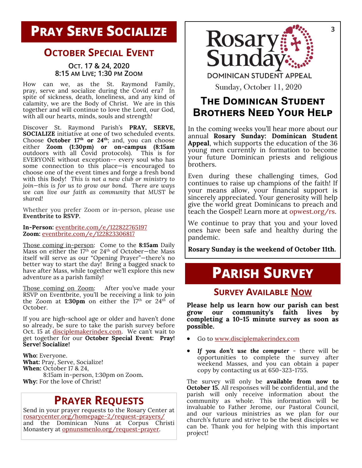## **OCTOBER SPECIAL EVENT**

#### **OCT. 17 & 24, 2020 8:15 AM LIVE; 1:30 PM ZOOM**

How can we, as the St. Raymond Family, pray, serve and socialize during the Covid era? In spite of sickness, death, loneliness, and any kind of calamity, we are the Body of Christ. We are in this together and will continue to love the Lord, our God, with all our hearts, minds, souls and strength!

Discover St. Raymond Parish's **PRAY, SERVE, SOCIALIZE** initiative at one of two scheduled events. Choose **October 17th or 24th**; and, you can choose either **Zoom (1:30pm) or on-campus (8:15am** outdoors with all Covid protocols). This is for EVERYONE without exception-- every soul who has some connection to this place—is encouraged to choose one of the event times and forge a fresh bond with this Body! *This is not a new club or ministry to join—this is for us to grow our bond. There are ways we can live our faith as community that MUST be shared!*

Whether you prefer Zoom or in-person, please use **Eventbrite to RSVP.** 

**In-Person:** eventbrite.com/e/122822765197 **Zoom:** eventbrite.com/e/122823306817

Those coming in-person: Come to the **8:15am** Daily Mass on either the  $17<sup>th</sup>$  or  $24<sup>th</sup>$  of October-the Mass itself will serve as our "Opening Prayer"—there's no better way to start the day! Bring a bagged snack to have after Mass, while together we'll explore this new adventure as a parish family!

Those coming on Zoom: After you've made your RSVP on Eventbrite, you'll be receiving a link to join the Zoom at **1:30pm** on either the  $17<sup>th</sup>$  or  $24<sup>th</sup>$  of October.

If you are high-school age or older and haven't done so already, be sure to take the parish survey before Oct. 15 at *disciplemakerindex.com*. We can't wait to get together for our **October Special Event: Pray! Serve! Socialize!** 

**Who:** Everyone. **What:** Pray, Serve, Socialize! **When:** October 17 & 24, 8:15am in-person, 1:30pm on Zoom**. Why:** For the love of Christ!

# **PRAYER REQUESTS**

Send in your prayer requests to the Rosary Center at rosarycenter.org/homepage-2/request-prayers/ and the Dominican Nuns at Corpus Christi Monastery at **opnunsmenlo.org/request-prayer.** 



# **THE DOMINICAN STUDENT BROTHERS NEED YOUR HELP**

In the coming weeks you'll hear more about our annual **Rosary Sunday: Dominican Student Appeal**, which supports the education of the 36 young men currently in formation to become your future Dominican priests and religious brothers.

Even during these challenging times, God continues to raise up champions of the faith! If your means allow, your financial support is sincerely appreciated. Your generosity will help give the world great Dominicans to preach and teach the Gospel! Learn more at opwest.org/rs.

We continue to pray that you and your loved ones have been safe and healthy during the pandemic.

**Rosary Sunday is the weekend of October 11th.** 

# **PARISH SURVEY**

### **SURVEY AVAILABLE NOW**

**Please help us learn how our parish can best grow our community's faith lives by completing a 10-15 minute survey as soon as possible.**

- Go to www.disciplemakerindex.com
- *If you don't use the computer* there will be opportunities to complete the survey after weekend Masses, and you can obtain a paper copy by contacting us at 650-323-1755.

The survey will only be **available from now to October 15.** All responses will be confidential, and the parish will only receive information about the community as whole. This information will be invaluable to Father Jerome, our Pastoral Council, and our various ministries as we plan for our church's future and strive to be the best disciples we can be. Thank you for helping with this important project!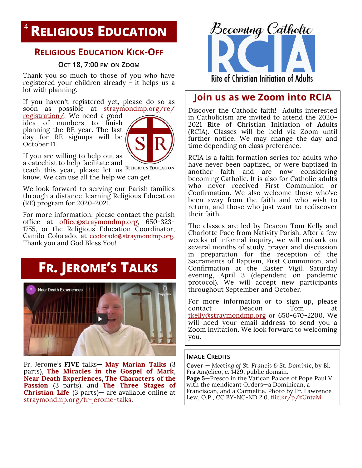# **RELIGIOUS EDUCATION <sup>4</sup>**

### **RELIGIOUS EDUCATION KICK-OFF**

### **OCT 18, 7:00 PM ON ZOOM**

Thank you so much to those of you who have registered your children already - it helps us a lot with planning.

If you haven't registered yet, please do so as soon as possible at straymondmp.org/re/

registration/. We need a good idea of numbers to finish planning the RE year. The last day for RE signups will be October 11.



If you are willing to help out as

a catechist to help facilitate and teach this year, please let us RELIGIOUS EDUCATION

know. We can use all the help we can get.

We look forward to serving our Parish families through a distance-learning Religious Education (RE) program for 2020-2021.

For more information, please contact the parish office at <u>office@straymondmp.org</u>, 650-323-1755, or the Religious Education Coordinator, Camilo Colorado, at ccolorado@straymondmp.org. Thank you and God Bless You!

# **FR. JEROME'S TALKS**



Fr. Jerome's **FIVE** talks— **May Marian Talks** (3 parts), **The Miracles in the Gospel of Mark**, **Near Death Experiences**, **The Characters of the Passion** (3 parts), and **The Three Stages of Christian Life** (3 parts)— are available online at straymondmp.org/fr-jerome-talks.



### **Join us as we Zoom into RCIA**

Discover the Catholic faith! Adults interested in Catholicism are invited to attend the 2020- 2021 **R**ite of **C**hristian **I**nitiation of **A**dults (RCIA). Classes will be held via Zoom until further notice. We may change the day and time depending on class preference.

RCIA is a faith formation series for adults who have never been baptized, or were baptized in another faith and are now considering becoming Catholic. It is also for Catholic adults who never received First Communion or Confirmation. We also welcome those who've been away from the faith and who wish to return, and those who just want to rediscover their faith.

The classes are led by Deacon Tom Kelly and Charlotte Pace from Nativity Parish. After a few weeks of informal inquiry, we will embark on several months of study, prayer and discussion in preparation for the reception of the Sacraments of Baptism, First Communion, and Confirmation at the Easter Vigil, Saturday evening, April 3 (dependent on pandemic protocol). We will accept new participants throughout September and October.

For more information or to sign up, please contact Deacon Tom tkelly@straymondmp.org or 650-670-2200. We will need your email address to send you a Zoom invitation. We look forward to welcoming you.

#### **IMAGE CREDITS**

**Cover** — *Meeting of St. Francis & St. Dominic*, by Bl. Fra Angelico, c. 1429, public domain. **Page 5**—Fresco in the Vatican Palace of Pope Paul V with the mendicant Orders—a Dominican, a Franciscan, and a Carmelite. Photo by Fr. Lawrence Lew, O.P., CC BY-NC-ND 2.0. flic.kr/p/zUntaM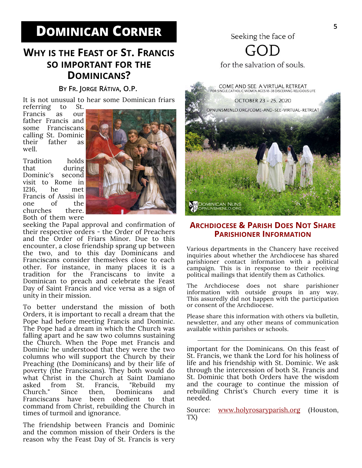# **DOMINICAN CORNER** Seeking the face of

# **WHY IS THE FEAST OF ST. FRANCIS SO IMPORTANT FOR THE DOMINICANS?**

#### **BY FR. JORGE RÁTIVA, O.P.**

It is not unusual to hear some Dominican friars

referring Francis as our father Francis and some Franciscans calling St. Dominic their father as well.

Tradition holds that during Dominic's second visit to Rome in 1216, he met Francis of Assisi in one of the churches there. Both of them were



seeking the Papal approval and confirmation of their respective orders - the Order of Preachers and the Order of Friars Minor. Due to this encounter, a close friendship sprang up between the two, and to this day Dominicans and Franciscans consider themselves close to each other. For instance, in many places it is a tradition for the Franciscans to invite a Dominican to preach and celebrate the Feast Day of Saint Francis and vice versa as a sign of unity in their mission.

To better understand the mission of both Orders, it is important to recall a dream that the Pope had before meeting Francis and Dominic. The Pope had a dream in which the Church was falling apart and he saw two columns sustaining the Church. When the Pope met Francis and Dominic he understood that they were the two columns who will support the Church by their Preaching (the Dominicans) and by their life of poverty (the Franciscans). They both would do what Christ in the Church at Saint Damiano asked from St. Francis, "Rebuild my Since then, Dominicans and Franciscans have been obedient to that command from Christ, rebuilding the Church in times of turmoil and ignorance.

The friendship between Francis and Dominic and the common mission of their Orders is the reason why the Feast Day of St. Francis is very

for the salvation of souls.



### **ARCHDIOCESE & PARISH DOES NOT SHARE PARISHIONER INFORMATION**

Various departments in the Chancery have received inquiries about whether the Archdiocese has shared parishioner contact information with a political campaign. This is in response to their receiving political mailings that identify them as Catholics.

The Archdiocese does not share parishioner information with outside groups in any way. This assuredly did not happen with the participation or consent of the Archdiocese.

Please share this information with others via bulletin, newsletter, and any other means of communication available within parishes or schools.

important for the Dominicans. On this feast of St. Francis, we thank the Lord for his holiness of life and his friendship with St. Dominic. We ask through the intercession of both St. Francis and St. Dominic that both Orders have the wisdom and the courage to continue the mission of rebuilding Christ's Church every time it is needed.

Source: www.holyrosaryparish.org (Houston, TX)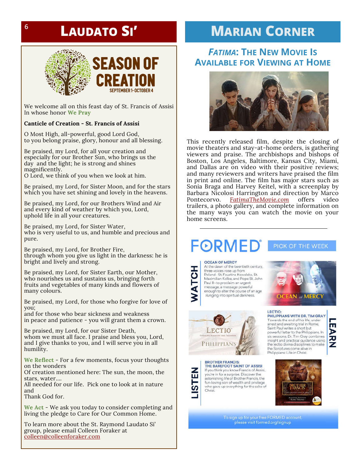# **LAUDATO SI'**



We welcome all on this feast day of St. Francis of Assisi In whose honor **We Pray**

**SEPTEMBER 1- OCTOBER 4** 

#### **Canticle of Creation - St. Francis of Assisi**

O Most High, all-powerful, good Lord God, to you belong praise, glory, honour and all blessing.

Be praised, my Lord, for all your creation and especially for our Brother Sun, who brings us the day and the light; he is strong and shines magnificently.

O Lord, we think of you when we look at him.

Be praised, my Lord, for Sister Moon, and for the stars which you have set shining and lovely in the heavens.

Be praised, my Lord, for our Brothers Wind and Air and every kind of weather by which you, Lord, uphold life in all your creatures.

Be praised, my Lord, for Sister Water, who is very useful to us, and humble and precious and pure.

Be praised, my Lord, for Brother Fire, through whom you give us light in the darkness: he is bright and lively and strong.

Be praised, my Lord, for Sister Earth, our Mother, who nourishes us and sustains us, bringing forth fruits and vegetables of many kinds and flowers of many colours.

Be praised, my Lord, for those who forgive for love of you;

and for those who bear sickness and weakness in peace and patience - you will grant them a crown.

Be praised, my Lord, for our Sister Death, whom we must all face. I praise and bless you, Lord, and I give thanks to you, and I will serve you in all humility.

**We Reflect** - For a few moments, focus your thoughts on the wonders

Of creation mentioned here: The sun, the moon, the stars, water….

All needed for our life. Pick one to look at in nature and

Thank God for.

**We Act** - We ask you today to consider completing and living the pledge to Care for Our Common Home.

To learn more about the St. Raymond Laudato Si' group, please email Colleen Foraker at colleen@colleenforaker.com

# **MARIAN CORNER**

### *FATIMA***: THE NEW MOVIE IS AVAILABLE FOR VIEWING AT HOME**



This recently released film, despite the closing of movie theaters and stay-at-home orders, is gathering viewers and praise. The archbishops and bishops of Boston, Los Angeles, Baltimore, Kansas City, Miami, and Dallas are on video with their positive reviews; and many reviewers and writers have praised the film in print and online. The film has major stars such as Sonia Braga and Harvey Keitel, with a screenplay by Barbara Nicolosi Harrington and direction by Marco Pontecorvo. *FatimaTheMovie.com* offers video trailers, a photo gallery, and complete information on the many ways you can watch the movie on your home screens.

# **FORMEI**

#### PICK OF THE WEEK

**OCEAN OF MERCY** 

LECTIC

PHILIPPIANS

Christ.

**BROTHER FRANCIS:** 

THE BAREFOOT SAINT OF ASSISI If you think you know Francis of Assisi, you're in for a surprise. Discover the astonishing life of Brother Francis, the fun-loving son of wealth and privilege who gave up everything for the sake of

At the dawn of the twentieth century, three voices rose up from<br>Poland–St. Faustina Kowalska, St. Maximilian Kolbe, and Pope St. John<br>Paul II-to proclaim an urgent message, a message powerful enough to alter the course of an age ilunging into spiritual darkness.



ш

⋗

ー<br>N<br>N

#### **LECTIO:** PHILIPPIANS WITH DR. TIM GRAY

Towards the end of his life, under arrest and awaiting trial in Rome, Saint Paul writes a short but powerful letter to the Philippians. In six sessions, Dr. Tim Gray combines insight and practical guidance using the lectio divina disciplines to make the Scriptures come alive in Philippians: Life in Christ.



To sign up for your free FORMED account, please visit formed.org/signup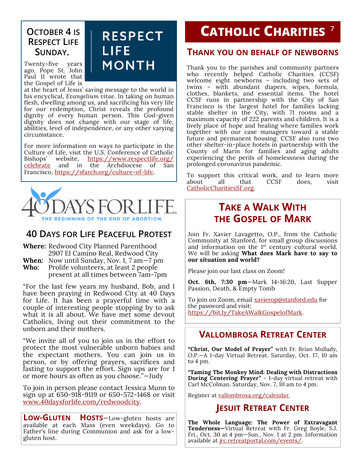# **OCTOBER 4 IS RESPECT LIFE SUNDAY.**

Twenty-five years ago, Pope St. John Paul II wrote that the Gospel of Life is

#### at the heart of Jesus' saving message to the world in his encyclical, *Evangelium vitae*. In taking on human flesh, dwelling among us, and sacrificing his very life for our redemption, Christ reveals the profound dignity of every human person. This God-given dignity does not change with our stage of life, abilities, level of independence, or any other varying circumstance.

**RESPECT** 

**MONTH** 

LIFE

For more information on ways to participate in the Culture of Life, visit the U.S. Conference of Catholic Bishops' website, <u>https://www.respectlife.org/</u> celebrate and in the Archdiocese of San Francisco, https://sfarch.org/culture-of-life.



## **40 DAYS FOR LIFE PEACEFUL PROTEST**

**Where:** Redwood City Planned Parenthood 2907 El Camino Real, Redwood City **When:** Now until Sunday, Nov. 1, 7 am—7 pm **Who:** Prolife volunteers, at least 2 people present at all times between 7am-7pm

"For the last few years my husband, Bob, and I have been praying in Redwood City at 40 Days for Life. It has been a prayerful time with a couple of interesting people stopping by to ask what it is all about. We have met some devout Catholics, living out their commitment to the unborn and their mothers.

"We invite all of you to join us in the effort to protect the most vulnerable unborn babies and the expectant mothers. You can join us in person, or by offering prayers, sacrifices and fasting to support the effort. Sign ups are for 1 or more hours as often as you choose."—Judy

To join in person please contact Jessica Munn to sign up at 650-918-9119 or 650-572-1468 or visit www.40daysforlife.com/redwoodcity.

**LOW-GLUTEN HOSTS**—Low-gluten hosts are available at each Mass (even weekdays). Go to Father's line during Communion and ask for a lowgluten host.

# **CATHOLIC CHARITIES 7**

### **THANK YOU ON BEHALF OF NEWBORNS**

Thank you to the parishes and community partners who recently helped Catholic Charities (CCSF) welcome eight newborns – including two sets of twins – with abundant diapers, wipes, formula, clothes, blankets, and essential items. The hotel CCSF runs in partnership with the City of San Francisco is the largest hotel for families lacking stable shelter in the City, with 71 rooms and a maximum capacity of 222 parents and children. It is a lively place of hope and healing where families work together with our case managers toward a stable future and permanent housing. CCSF also runs two other shelter-in-place hotels in partnership with the County of Marin for families and aging adults experiencing the perils of homelessness during the prolonged coronavirus pandemic.

To support this critical work, and to learn more about all that CCSF does, visit CatholicCharitiesSF.org.

# **TAKE A WALK WITH THE GOSPEL OF MARK**

Join Fr. Xavier Lavagetto, O.P., from the Catholic Community at Stanford, for small group discussions and information on the 1<sup>st</sup> century cultural world. We will be asking **What does Mark have to say to our situation and world?**

Please join our last class on Zoom!

**Oct. 6th, 7:30 pm**—Mark 14-16:20, Last Supper Passion, Death, & Empty Tomb

To join on Zoom, email xavierop@stanford.edu for the password and visit: https://bit.ly/TakeAWalkGospelofMark.

### **VALLOMBROSA RETREAT CENTER**

**"Christ, Our Model of Prayer"** with Fr. Brian Mullady, O.P.—A 1-day Virtual Retreat. Saturday, Oct. 17, 10 am to 4 pm.

**"Taming The Monkey Mind: Dealing with Distractions During Centering Prayer"** - 1-day virtual retreat with Carl McColman. Saturday, Nov. 7, 10 am to 4 pm.

Register at vallombrosa.org/calendar.

### **JESUIT RETREAT CENTER**

**The Whole Language: The Power of Extravagant Tenderness—**Virtual Retreat with Fr. Greg Boyle, S.J. Fri., Oct. 30 at 4 pm—Sun., Nov. 1 at 2 pm. Information available at *jrc.retreatportal.com/events/.*